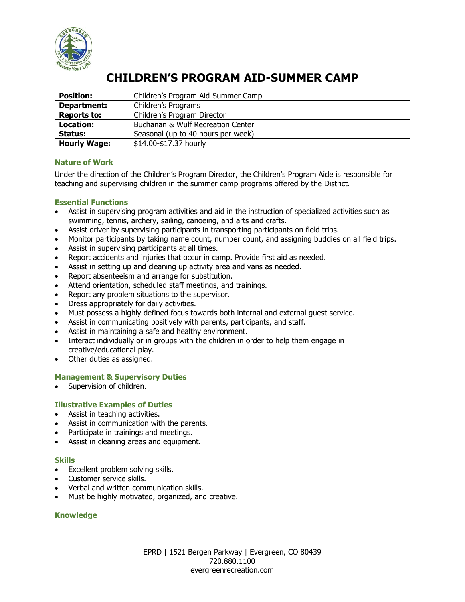

# **CHILDREN'S PROGRAM AID-SUMMER CAMP**

| <b>Position:</b>    | Children's Program Aid-Summer Camp |
|---------------------|------------------------------------|
| Department:         | Children's Programs                |
| <b>Reports to:</b>  | Children's Program Director        |
| Location:           | Buchanan & Wulf Recreation Center  |
| Status:             | Seasonal (up to 40 hours per week) |
| <b>Hourly Wage:</b> | \$14.00-\$17.37 hourly             |

## **Nature of Work**

Under the direction of the Children's Program Director, the Children's Program Aide is responsible for teaching and supervising children in the summer camp programs offered by the District.

## **Essential Functions**

- Assist in supervising program activities and aid in the instruction of specialized activities such as swimming, tennis, archery, sailing, canoeing, and arts and crafts.
- Assist driver by supervising participants in transporting participants on field trips.
- Monitor participants by taking name count, number count, and assigning buddies on all field trips.
- Assist in supervising participants at all times.
- Report accidents and injuries that occur in camp. Provide first aid as needed.
- Assist in setting up and cleaning up activity area and vans as needed.
- Report absenteeism and arrange for substitution.
- Attend orientation, scheduled staff meetings, and trainings.
- Report any problem situations to the supervisor.
- Dress appropriately for daily activities.
- Must possess a highly defined focus towards both internal and external guest service.
- Assist in communicating positively with parents, participants, and staff.
- Assist in maintaining a safe and healthy environment.
- Interact individually or in groups with the children in order to help them engage in creative/educational play.
- Other duties as assigned.

## **Management & Supervisory Duties**

Supervision of children.

## **Illustrative Examples of Duties**

- Assist in teaching activities.
- Assist in communication with the parents.
- Participate in trainings and meetings.
- Assist in cleaning areas and equipment.

## **Skills**

- Excellent problem solving skills.
- Customer service skills.
- Verbal and written communication skills.
- Must be highly motivated, organized, and creative.

## **Knowledge**